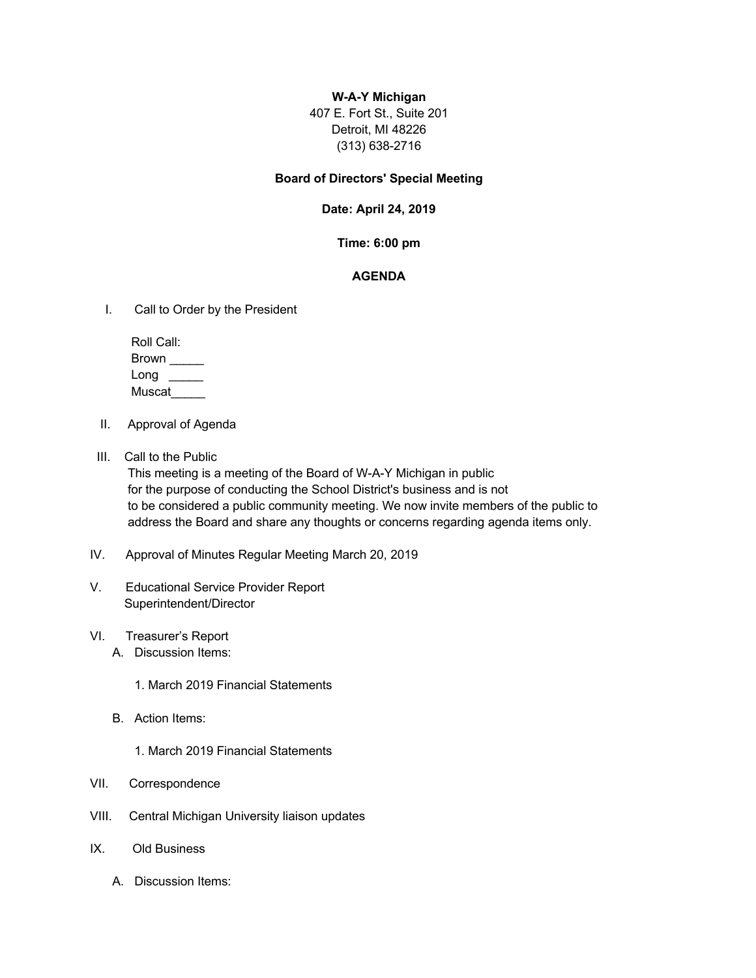## **W-A-Y Michigan**

407 E. Fort St., Suite 201 Detroit, MI 48226 (313) 638-2716

#### **Board of Directors' Special Meeting**

### **Date: April 24, 2019**

### **Time: 6:00 pm**

# **AGENDA**

I. Call to Order by the President

| Roll Call: |  |
|------------|--|
| Brown      |  |
| Long       |  |
| Muscat     |  |

- II. Approval of Agenda
- III. Call to the Public

 This meeting is a meeting of the Board of W-A-Y Michigan in public for the purpose of conducting the School District's business and is not to be considered a public community meeting. We now invite members of the public to address the Board and share any thoughts or concerns regarding agenda items only.

- IV. Approval of Minutes Regular Meeting March 20, 2019
- V. Educational Service Provider Report Superintendent/Director
- VI. Treasurer's Report
	- A. Discussion Items:
		- 1. March 2019 Financial Statements
	- B. Action Items:
		- 1. March 2019 Financial Statements
- VII. Correspondence
- VIII. Central Michigan University liaison updates
- IX. Old Business
	- A. Discussion Items: